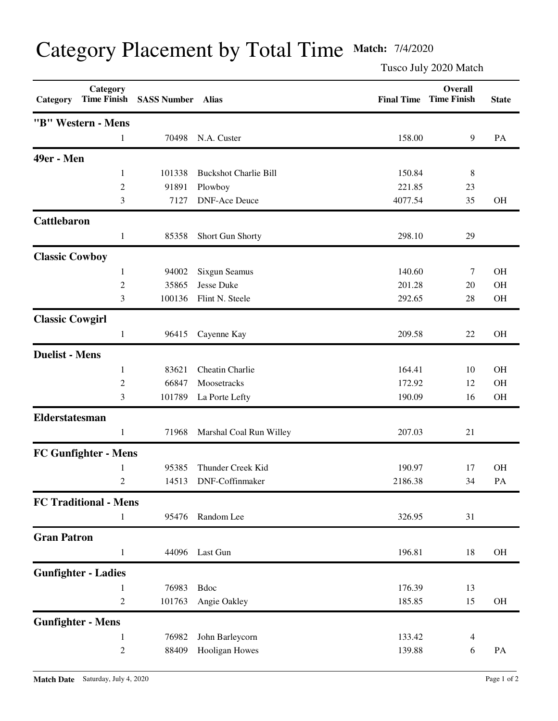## Category Placement by Total Time **Match:** 7/4/2020

Tusco July 2020 Match

| Category               | Category<br><b>Time Finish</b> | <b>SASS Number</b> | <b>Alias</b>                 | <b>Final Time</b> | <b>Overall</b><br><b>Time Finish</b> | <b>State</b> |
|------------------------|--------------------------------|--------------------|------------------------------|-------------------|--------------------------------------|--------------|
|                        | "B" Western - Mens             |                    |                              |                   |                                      |              |
|                        | 1                              | 70498              | N.A. Custer                  | 158.00            | 9                                    | PA           |
| 49er - Men             |                                |                    |                              |                   |                                      |              |
|                        | 1                              | 101338             | <b>Buckshot Charlie Bill</b> | 150.84            | 8                                    |              |
|                        | $\overline{c}$                 | 91891              | Plowboy                      | 221.85            | 23                                   |              |
|                        | 3                              | 7127               | <b>DNF-Ace Deuce</b>         | 4077.54           | 35                                   | <b>OH</b>    |
| <b>Cattlebaron</b>     |                                |                    |                              |                   |                                      |              |
|                        | $\mathbf{1}$                   | 85358              | Short Gun Shorty             | 298.10            | 29                                   |              |
| <b>Classic Cowboy</b>  |                                |                    |                              |                   |                                      |              |
|                        | 1                              | 94002              | Sixgun Seamus                | 140.60            | 7                                    | <b>OH</b>    |
|                        | $\overline{c}$                 | 35865              | Jesse Duke                   | 201.28            | 20                                   | <b>OH</b>    |
|                        | 3                              | 100136             | Flint N. Steele              | 292.65            | 28                                   | <b>OH</b>    |
| <b>Classic Cowgirl</b> |                                |                    |                              |                   |                                      |              |
|                        | 1                              | 96415              | Cayenne Kay                  | 209.58            | 22                                   | <b>OH</b>    |
| <b>Duelist - Mens</b>  |                                |                    |                              |                   |                                      |              |
|                        | 1                              | 83621              | Cheatin Charlie              | 164.41            | 10                                   | <b>OH</b>    |
|                        | $\overline{c}$                 | 66847              | Moosetracks                  | 172.92            | 12                                   | <b>OH</b>    |
|                        | 3                              | 101789             | La Porte Lefty               | 190.09            | 16                                   | <b>OH</b>    |
| Elderstatesman         |                                |                    |                              |                   |                                      |              |
|                        | 1                              | 71968              | Marshal Coal Run Willey      | 207.03            | 21                                   |              |
|                        | <b>FC Gunfighter - Mens</b>    |                    |                              |                   |                                      |              |
|                        | 1                              | 95385              | Thunder Creek Kid            | 190.97            | 17                                   | <b>OH</b>    |
|                        | 2                              | 14513              | DNF-Coffinmaker              | 2186.38           | 34                                   | PA           |
|                        | <b>FC Traditional - Mens</b>   |                    |                              |                   |                                      |              |
|                        | 1                              | 95476              | Random Lee                   | 326.95            | 31                                   |              |
| <b>Gran Patron</b>     |                                |                    |                              |                   |                                      |              |
|                        | $\mathbf{1}$                   | 44096              | Last Gun                     | 196.81            | 18                                   | $\rm OH$     |
|                        | <b>Gunfighter - Ladies</b>     |                    |                              |                   |                                      |              |
|                        | 1                              | 76983              | Bdoc                         | 176.39            | 13                                   |              |
|                        | $\overline{c}$                 | 101763             | Angie Oakley                 | 185.85            | 15                                   | OH           |
|                        | <b>Gunfighter - Mens</b>       |                    |                              |                   |                                      |              |
|                        | 1                              | 76982              | John Barleycorn              | 133.42            | $\overline{4}$                       |              |
|                        | $\overline{c}$                 | 88409              | Hooligan Howes               | 139.88            | 6                                    | PA           |